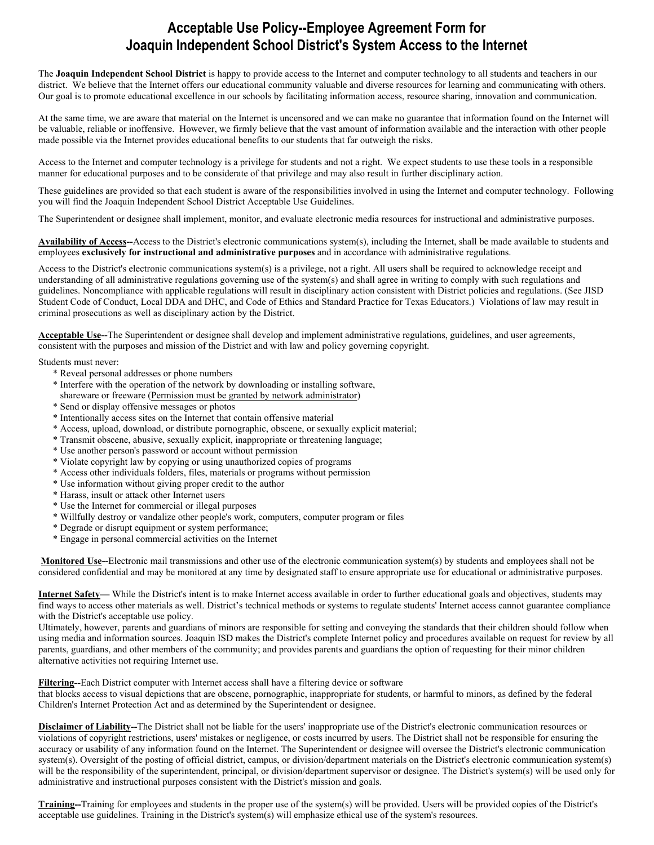## **Acceptable Use Policy--Employee Agreement Form for Joaquin Independent School District's System Access to the Internet**

The **Joaquin Independent School District** is happy to provide access to the Internet and computer technology to all students and teachers in our district. We believe that the Internet offers our educational community valuable and diverse resources for learning and communicating with others. Our goal is to promote educational excellence in our schools by facilitating information access, resource sharing, innovation and communication.

At the same time, we are aware that material on the Internet is uncensored and we can make no guarantee that information found on the Internet will be valuable, reliable or inoffensive. However, we firmly believe that the vast amount of information available and the interaction with other people made possible via the Internet provides educational benefits to our students that far outweigh the risks.

Access to the Internet and computer technology is a privilege for students and not a right. We expect students to use these tools in a responsible manner for educational purposes and to be considerate of that privilege and may also result in further disciplinary action.

These guidelines are provided so that each student is aware of the responsibilities involved in using the Internet and computer technology. Following you will find the Joaquin Independent School District Acceptable Use Guidelines.

The Superintendent or designee shall implement, monitor, and evaluate electronic media resources for instructional and administrative purposes.

**Availability of Access--**Access to the District's electronic communications system(s), including the Internet, shall be made available to students and employees **exclusively for instructional and administrative purposes** and in accordance with administrative regulations.

Access to the District's electronic communications system(s) is a privilege, not a right. All users shall be required to acknowledge receipt and understanding of all administrative regulations governing use of the system(s) and shall agree in writing to comply with such regulations and guidelines. Noncompliance with applicable regulations will result in disciplinary action consistent with District policies and regulations. (See JISD Student Code of Conduct, Local DDA and DHC, and Code of Ethics and Standard Practice for Texas Educators.) Violations of law may result in criminal prosecutions as well as disciplinary action by the District.

**Acceptable Use--**The Superintendent or designee shall develop and implement administrative regulations, guidelines, and user agreements, consistent with the purposes and mission of the District and with law and policy governing copyright.

Students must never:

- \* Reveal personal addresses or phone numbers
- \* Interfere with the operation of the network by downloading or installing software, shareware or freeware (Permission must be granted by network administrator)
- \* Send or display offensive messages or photos
- \* Intentionally access sites on the Internet that contain offensive material
- \* Access, upload, download, or distribute pornographic, obscene, or sexually explicit material;
- \* Transmit obscene, abusive, sexually explicit, inappropriate or threatening language;
- \* Use another person's password or account without permission
- \* Violate copyright law by copying or using unauthorized copies of programs
- \* Access other individuals folders, files, materials or programs without permission
- \* Use information without giving proper credit to the author
- \* Harass, insult or attack other Internet users
- \* Use the Internet for commercial or illegal purposes
- \* Willfully destroy or vandalize other people's work, computers, computer program or files
- \* Degrade or disrupt equipment or system performance;
- \* Engage in personal commercial activities on the Internet

**Monitored Use--**Electronic mail transmissions and other use of the electronic communication system(s) by students and employees shall not be considered confidential and may be monitored at any time by designated staff to ensure appropriate use for educational or administrative purposes.

**Internet Safety—** While the District's intent is to make Internet access available in order to further educational goals and objectives, students may find ways to access other materials as well. District's technical methods or systems to regulate students' Internet access cannot guarantee compliance with the District's acceptable use policy.

Ultimately, however, parents and guardians of minors are responsible for setting and conveying the standards that their children should follow when using media and information sources. Joaquin ISD makes the District's complete Internet policy and procedures available on request for review by all parents, guardians, and other members of the community; and provides parents and guardians the option of requesting for their minor children alternative activities not requiring Internet use.

**Filtering--**Each District computer with Internet access shall have a filtering device or software

that blocks access to visual depictions that are obscene, pornographic, inappropriate for students, or harmful to minors, as defined by the federal Children's Internet Protection Act and as determined by the Superintendent or designee.

**Disclaimer of Liability--**The District shall not be liable for the users' inappropriate use of the District's electronic communication resources or violations of copyright restrictions, users' mistakes or negligence, or costs incurred by users. The District shall not be responsible for ensuring the accuracy or usability of any information found on the Internet. The Superintendent or designee will oversee the District's electronic communication system(s). Oversight of the posting of official district, campus, or division/department materials on the District's electronic communication system(s) will be the responsibility of the superintendent, principal, or division/department supervisor or designee. The District's system(s) will be used only for administrative and instructional purposes consistent with the District's mission and goals.

**Training--**Training for employees and students in the proper use of the system(s) will be provided. Users will be provided copies of the District's acceptable use guidelines. Training in the District's system(s) will emphasize ethical use of the system's resources.